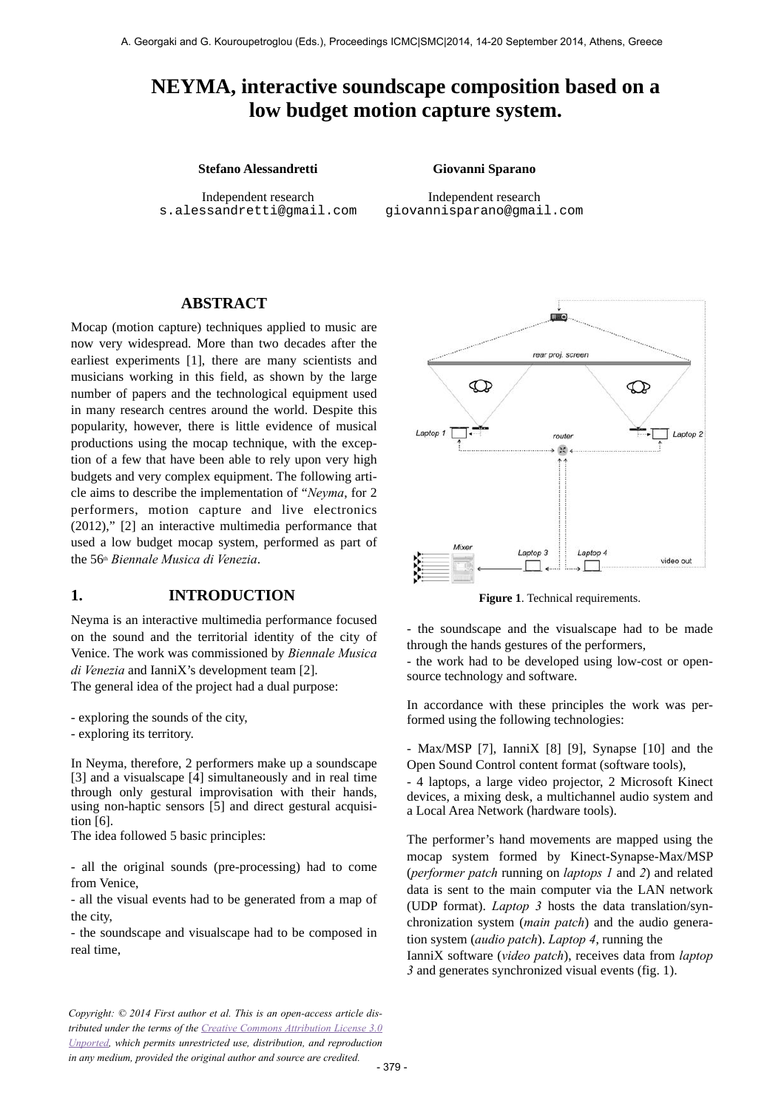# **NEYMA, interactive soundscape composition based on a low budget motion capture system.**

#### **Stefano Alessandretti Giovanni Sparano**

Independent research [s.alessandretti@gmail.com](mailto:author1@smcnetwork.org?subject=SMC%25202010%2520paper)

Independent research [giovannisparano@gmail.com](mailto:author2@smcnetwork.org)

### **ABSTRACT**

Mocap (motion capture) techniques applied to music are now very widespread. More than two decades after the earliest experiments [1], there are many scientists and musicians working in this field, as shown by the large number of papers and the technological equipment used in many research centres around the world. Despite this popularity, however, there is little evidence of musical productions using the mocap technique, with the exception of a few that have been able to rely upon very high budgets and very complex equipment. The following article aims to describe the implementation of "*Neyma*, for 2 performers, motion capture and live electronics (2012)," [2] an interactive multimedia performance that used a low budget mocap system, performed as part of the 56th *Biennale Musica di Venezia*.

#### **1. INTRODUCTION**

Neyma is an interactive multimedia performance focused on the sound and the territorial identity of the city of Venice. The work was commissioned by *Biennale Musica di Venezia* and IanniX's development team [2].

The general idea of the project had a dual purpose:

- exploring the sounds of the city,

- exploring its territory.

In Neyma, therefore, 2 performers make up a soundscape [3] and a visualscape [4] simultaneously and in real time through only gestural improvisation with their hands, using non-haptic sensors [5] and direct gestural acquisition [6].

The idea followed 5 basic principles:

- all the original sounds (pre-processing) had to come from Venice,

- all the visual events had to be generated from a map of the city,

- the soundscape and visualscape had to be composed in real time,

*Copyright: © 2014 First author et al. This is an open-access article distributed under the terms of the Creative Commons Attribution License 3.0 [Unported, which permits unrestricted use, distribution, and reproduction](http://creativecommons.org/licenses/by/3.0/) in any medium, provided the original author and source are credited.*



**Figure 1**. Technical requirements.

- the soundscape and the visualscape had to be made through the hands gestures of the performers,

- the work had to be developed using low-cost or opensource technology and software.

In accordance with these principles the work was performed using the following technologies:

- Max/MSP [7], IanniX [8] [9], Synapse [10] and the Open Sound Control content format (software tools),

- 4 laptops, a large video projector, 2 Microsoft Kinect devices, a mixing desk, a multichannel audio system and a Local Area Network (hardware tools).

The performer's hand movements are mapped using the mocap system formed by Kinect-Synapse-Max/MSP (*performer patch* running on *laptops 1* and *2*) and related data is sent to the main computer via the LAN network (UDP format). *Laptop 3* hosts the data translation/synchronization system (*main patch*) and the audio generation system (*audio patch*). *Laptop 4*, running the IanniX software (*video patch*), receives data from *laptop 3* and generates synchronized visual events (fig. 1).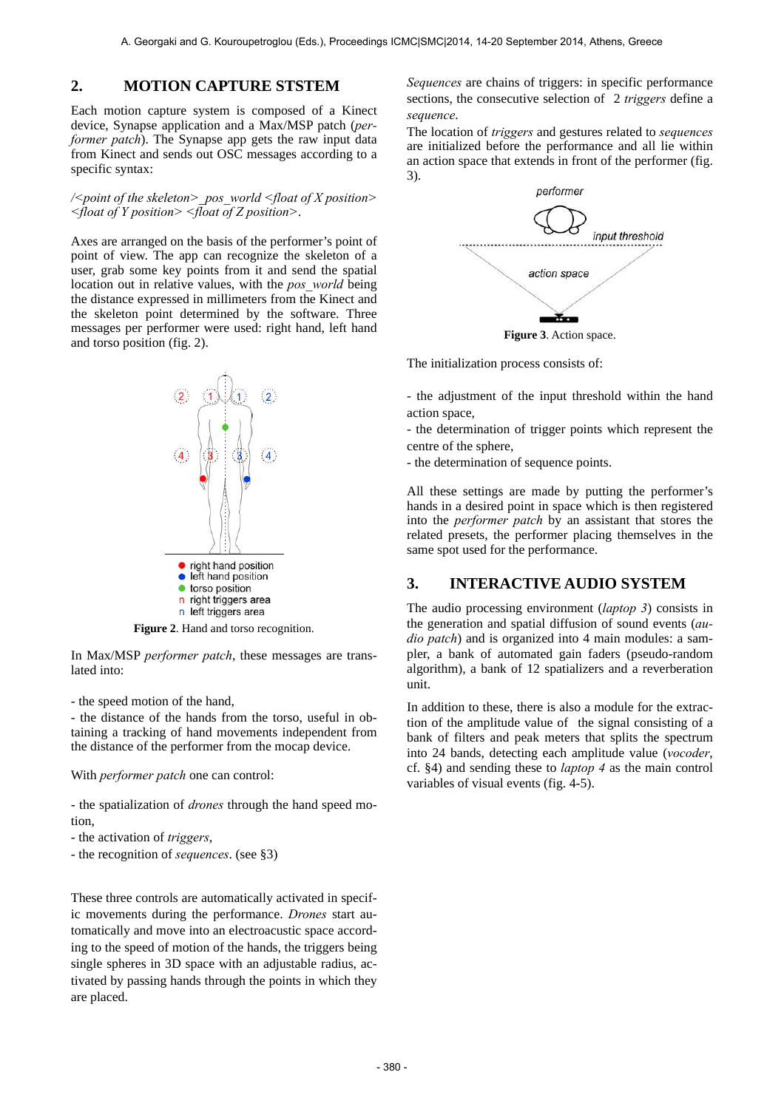### **2. MOTION CAPTURE STSTEM**

Each motion capture system is composed of a Kinect device, Synapse application and a Max/MSP patch (*performer patch*). The Synapse app gets the raw input data from Kinect and sends out OSC messages according to a specific syntax:

*/<point of the skeleton>\_pos\_world <float of X position> <float of Y position> <float of Z position>*.

Axes are arranged on the basis of the performer's point of point of view. The app can recognize the skeleton of a user, grab some key points from it and send the spatial location out in relative values, with the *pos\_world* being the distance expressed in millimeters from the Kinect and the skeleton point determined by the software. Three messages per performer were used: right hand, left hand and torso position (fig. 2).



**Figure 2**. Hand and torso recognition.

In Max/MSP *performer patch*, these messages are translated into:

- the speed motion of the hand,

- the distance of the hands from the torso, useful in obtaining a tracking of hand movements independent from the distance of the performer from the mocap device.

With *performer patch* one can control:

- the spatialization of *drones* through the hand speed motion,

- the activation of *triggers*,
- the recognition of *sequences*. (see §3)

These three controls are automatically activated in specific movements during the performance. *Drones* start automatically and move into an electroacustic space according to the speed of motion of the hands, the triggers being single spheres in 3D space with an adjustable radius, activated by passing hands through the points in which they are placed.

*Sequences* are chains of triggers: in specific performance sections, the consecutive selection of 2 *triggers* define a *sequence*.

The location of *triggers* and gestures related to *sequences* are initialized before the performance and all lie within an action space that extends in front of the performer (fig. 3).



**Figure 3**. Action space.

The initialization process consists of:

- the adjustment of the input threshold within the hand action space,

- the determination of trigger points which represent the centre of the sphere,

- the determination of sequence points.

All these settings are made by putting the performer's hands in a desired point in space which is then registered into the *performer patch* by an assistant that stores the related presets, the performer placing themselves in the same spot used for the performance.

### **3. INTERACTIVE AUDIO SYSTEM**

The audio processing environment (*laptop 3*) consists in the generation and spatial diffusion of sound events (*audio patch*) and is organized into 4 main modules: a sampler, a bank of automated gain faders (pseudo-random algorithm), a bank of 12 spatializers and a reverberation unit.

In addition to these, there is also a module for the extraction of the amplitude value of the signal consisting of a bank of filters and peak meters that splits the spectrum into 24 bands, detecting each amplitude value (*vocoder*, cf. §4) and sending these to *laptop 4* as the main control variables of visual events (fig. 4-5).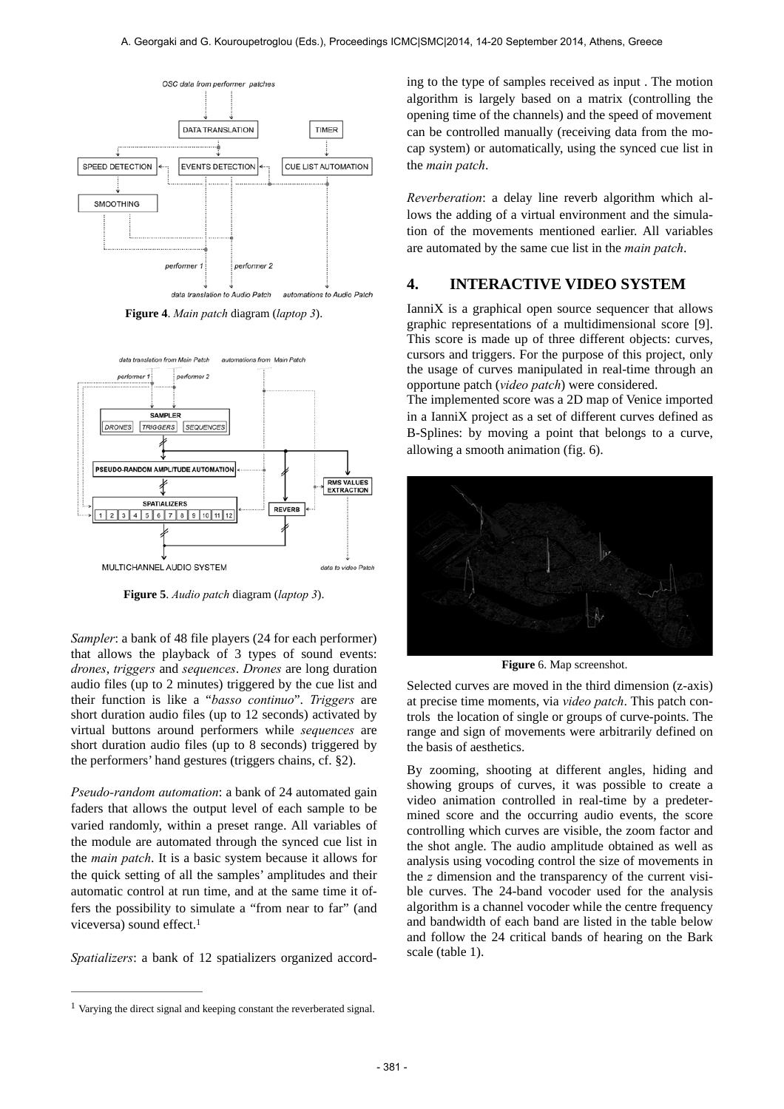

**Figure 4**. *Main patch* diagram (*laptop 3*).



**Figure 5**. *Audio patch* diagram (*laptop 3*).

*Sampler*: a bank of 48 file players (24 for each performer) that allows the playback of 3 types of sound events: *drones*, *triggers* and *sequences*. *Drones* are long duration audio files (up to 2 minutes) triggered by the cue list and their function is like a "*basso continuo*". *Triggers* are short duration audio files (up to 12 seconds) activated by virtual buttons around performers while *sequences* are short duration audio files (up to 8 seconds) triggered by the performers' hand gestures (triggers chains, cf. §2).

*Pseudo-random automation*: a bank of 24 automated gain faders that allows the output level of each sample to be varied randomly, within a preset range. All variables of the module are automated through the synced cue list in the *main patch*. It is a basic system because it allows for the quick setting of all the samples' amplitudes and their automatic control at run time, and at the same time it offers the possibility to simulate a "from near to far" (and viceversa) sound effect.<sup>1</sup>

*Spatializers*: a bank of 12 spatializers organized accord-

ing to the type of samples received as input . The motion algorithm is largely based on a matrix (controlling the opening time of the channels) and the speed of movement can be controlled manually (receiving data from the mocap system) or automatically, using the synced cue list in the *main patch*.

*Reverberation*: a delay line reverb algorithm which allows the adding of a virtual environment and the simulation of the movements mentioned earlier. All variables are automated by the same cue list in the *main patch*.

#### **4. INTERACTIVE VIDEO SYSTEM**

IanniX is a graphical open source sequencer that allows graphic representations of a multidimensional score [9]. This score is made up of three different objects: curves, cursors and triggers. For the purpose of this project, only the usage of curves manipulated in real-time through an opportune patch (*video patch*) were considered.

The implemented score was a 2D map of Venice imported in a IanniX project as a set of different curves defined as B-Splines: by moving a point that belongs to a curve, allowing a smooth animation (fig. 6).



**Figure** 6. Map screenshot.

Selected curves are moved in the third dimension (z-axis) at precise time moments, via *video patch*. This patch controls the location of single or groups of curve-points. The range and sign of movements were arbitrarily defined on the basis of aesthetics.

By zooming, shooting at different angles, hiding and showing groups of curves, it was possible to create a video animation controlled in real-time by a predetermined score and the occurring audio events, the score controlling which curves are visible, the zoom factor and the shot angle. The audio amplitude obtained as well as analysis using vocoding control the size of movements in the *z* dimension and the transparency of the current visible curves. The 24-band vocoder used for the analysis algorithm is a channel vocoder while the centre frequency and bandwidth of each band are listed in the table below and follow the 24 critical bands of hearing on the Bark scale (table 1).

 $<sup>1</sup>$  Varying the direct signal and keeping constant the reverberated signal.</sup>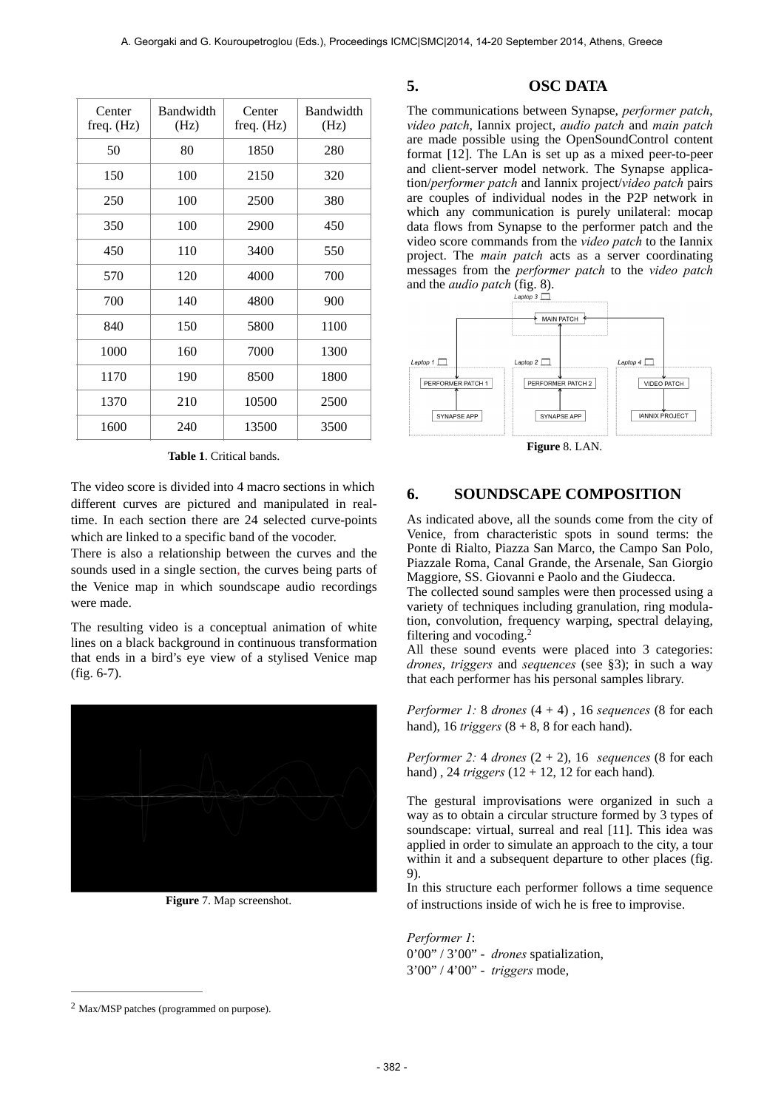| Center<br>freq. $(Hz)$ | <b>Bandwidth</b><br>(Hz) | Center<br>freq. $(Hz)$ | <b>Bandwidth</b><br>(Hz) |
|------------------------|--------------------------|------------------------|--------------------------|
| 50                     | 80                       | 1850                   | 280                      |
| 150                    | 100                      | 2150                   | 320                      |
| 250                    | 100                      | 2500                   | 380                      |
| 350                    | 100                      | 2900                   | 450                      |
| 450                    | 110                      | 3400                   | 550                      |
| 570                    | 120                      | 4000                   | 700                      |
| 700                    | 140                      | 4800                   | 900                      |
| 840                    | 150                      | 5800                   | 1100                     |
| 1000                   | 160                      | 7000                   | 1300                     |
| 1170                   | 190                      | 8500                   | 1800                     |
| 1370                   | 210                      | 10500                  | 2500                     |
| 1600                   | 240                      | 13500                  | 3500                     |

**Table 1**. Critical bands.

The video score is divided into 4 macro sections in which different curves are pictured and manipulated in realtime. In each section there are 24 selected curve-points which are linked to a specific band of the vocoder.

There is also a relationship between the curves and the sounds used in a single section, the curves being parts of the Venice map in which soundscape audio recordings were made.

The resulting video is a conceptual animation of white lines on a black background in continuous transformation that ends in a bird's eye view of a stylised Venice map (fig. 6-7).



**Figure** 7. Map screenshot.

#### **5. OSC DATA**

The communications between Synapse, *performer patch*, *video patch*, Iannix project, *audio patch* and *main patch* are made possible using the OpenSoundControl content format [12]. The LAn is set up as a mixed peer-to-peer and client-server model network. The Synapse application/*performer patch* and Iannix project/*video patch* pairs are couples of individual nodes in the P2P network in which any communication is purely unilateral: mocap data flows from Synapse to the performer patch and the video score commands from the *video patch* to the Iannix project. The *main patch* acts as a server coordinating messages from the *performer patch* to the *video patch* and the *audio patch* (fig. 8).



**Figure** 8. LAN.

## **6. SOUNDSCAPE COMPOSITION**

As indicated above, all the sounds come from the city of Venice, from characteristic spots in sound terms: the Ponte di Rialto, Piazza San Marco, the Campo San Polo, Piazzale Roma, Canal Grande, the Arsenale, San Giorgio Maggiore, SS. Giovanni e Paolo and the Giudecca.

The collected sound samples were then processed using a variety of techniques including granulation, ring modulation, convolution, frequency warping, spectral delaying, filtering and vocoding.2

All these sound events were placed into 3 categories: *drones*, *triggers* and *sequences* (see §3); in such a way that each performer has his personal samples library.

*Performer 1:* 8 *drones*  $(4 + 4)$ , 16 *sequences*  $(8$  for each hand), 16 *triggers*  $(8 + 8, 8)$  for each hand).

*Performer 2:* 4 *drones*  $(2 + 2)$ , 16 *sequences* (8 for each hand) , 24 *triggers* (12 + 12, 12 for each hand)*.*

The gestural improvisations were organized in such a way as to obtain a circular structure formed by 3 types of soundscape: virtual, surreal and real [11]. This idea was applied in order to simulate an approach to the city, a tour within it and a subsequent departure to other places (fig. 9).

In this structure each performer follows a time sequence of instructions inside of wich he is free to improvise.

*Performer 1*: 0'00" / 3'00" - *drones* spatialization, 3'00" / 4'00" - *triggers* mode,

 $2$  Max/MSP patches (programmed on purpose).